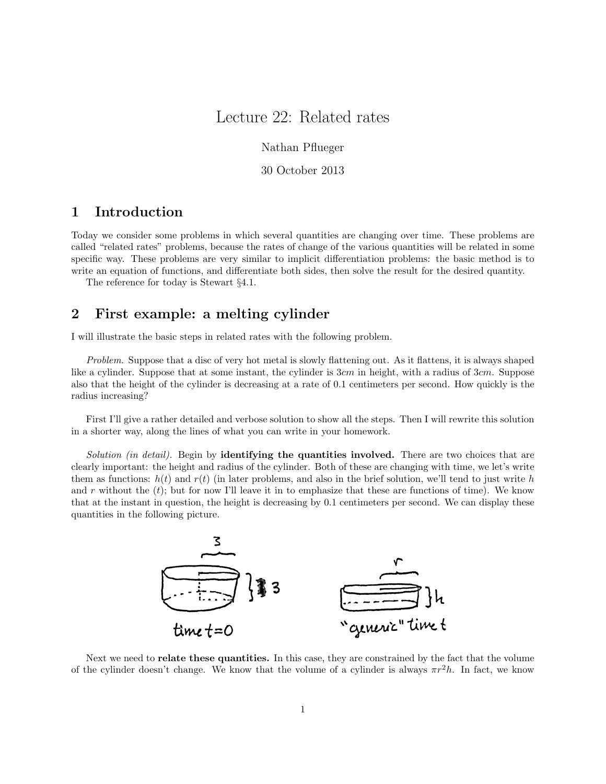# Lecture 22: Related rates

Nathan Pflueger

30 October 2013

## 1 Introduction

Today we consider some problems in which several quantities are changing over time. These problems are called "related rates" problems, because the rates of change of the various quantities will be related in some specific way. These problems are very similar to implicit differentiation problems: the basic method is to write an equation of functions, and differentiate both sides, then solve the result for the desired quantity.

The reference for today is Stewart §4.1.

#### 2 First example: a melting cylinder

I will illustrate the basic steps in related rates with the following problem.

Problem. Suppose that a disc of very hot metal is slowly flattening out. As it flattens, it is always shaped like a cylinder. Suppose that at some instant, the cylinder is 3cm in height, with a radius of 3cm. Suppose also that the height of the cylinder is decreasing at a rate of 0.1 centimeters per second. How quickly is the radius increasing?

First I'll give a rather detailed and verbose solution to show all the steps. Then I will rewrite this solution in a shorter way, along the lines of what you can write in your homework.

Solution (in detail). Begin by **identifying the quantities involved.** There are two choices that are clearly important: the height and radius of the cylinder. Both of these are changing with time, we let's write them as functions:  $h(t)$  and  $r(t)$  (in later problems, and also in the brief solution, we'll tend to just write h and r without the  $(t)$ ; but for now I'll leave it in to emphasize that these are functions of time). We know that at the instant in question, the height is decreasing by 0.1 centimeters per second. We can display these quantities in the following picture.



Next we need to **relate these quantities.** In this case, they are constrained by the fact that the volume of the cylinder doesn't change. We know that the volume of a cylinder is always  $\pi r^2 h$ . In fact, we know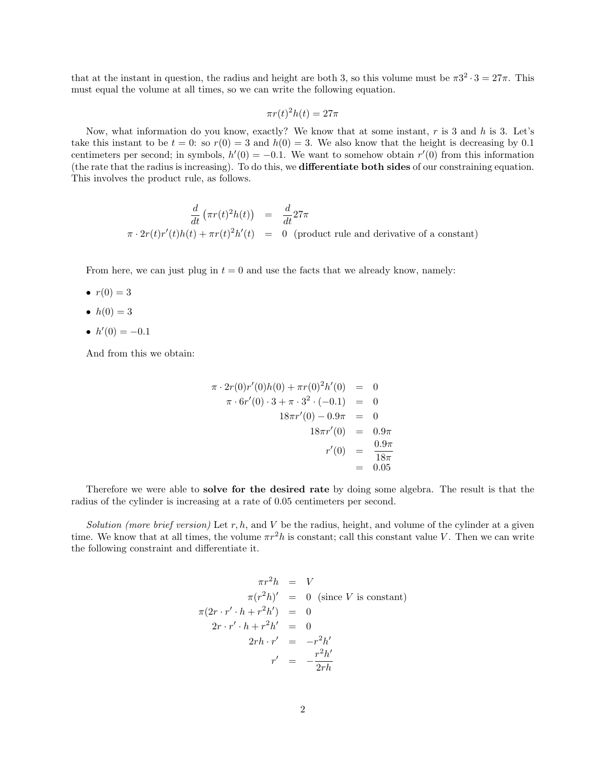that at the instant in question, the radius and height are both 3, so this volume must be  $\pi 3^2 \cdot 3 = 27\pi$ . This must equal the volume at all times, so we can write the following equation.

$$
\pi r(t)^2 h(t) = 27\pi
$$

Now, what information do you know, exactly? We know that at some instant,  $r$  is 3 and  $h$  is 3. Let's take this instant to be  $t = 0$ : so  $r(0) = 3$  and  $h(0) = 3$ . We also know that the height is decreasing by 0.1 centimeters per second; in symbols,  $h'(0) = -0.1$ . We want to somehow obtain  $r'(0)$  from this information (the rate that the radius is increasing). To do this, we differentiate both sides of our constraining equation. This involves the product rule, as follows.

$$
\frac{d}{dt} \left( \pi r(t)^2 h(t) \right) = \frac{d}{dt} 27\pi
$$
  

$$
\pi \cdot 2r(t)r'(t)h(t) + \pi r(t)^2 h'(t) = 0 \quad \text{(product rule and derivative of a constant)}
$$

From here, we can just plug in  $t = 0$  and use the facts that we already know, namely:

- $r(0) = 3$
- $h(0) = 3$
- $h'(0) = -0.1$

And from this we obtain:

$$
\pi \cdot 2r(0)r'(0)h(0) + \pi r(0)^2 h'(0) = 0
$$
  

$$
\pi \cdot 6r'(0) \cdot 3 + \pi \cdot 3^2 \cdot (-0.1) = 0
$$
  

$$
18\pi r'(0) - 0.9\pi = 0
$$
  

$$
18\pi r'(0) = 0.9\pi
$$
  

$$
r'(0) = \frac{0.9\pi}{18\pi}
$$
  

$$
= 0.05
$$

Therefore we were able to solve for the desired rate by doing some algebra. The result is that the radius of the cylinder is increasing at a rate of 0.05 centimeters per second.

Solution (more brief version) Let r, h, and V be the radius, height, and volume of the cylinder at a given time. We know that at all times, the volume  $\pi r^2 h$  is constant; call this constant value V. Then we can write the following constraint and differentiate it.

$$
\pi r^2 h = V
$$
  
\n
$$
\pi (r^2 h)' = 0 \text{ (since } V \text{ is constant)}
$$
  
\n
$$
\pi (2r \cdot r' \cdot h + r^2 h') = 0
$$
  
\n
$$
2r \cdot r' \cdot h + r^2 h' = 0
$$
  
\n
$$
2r h \cdot r' = -r^2 h'
$$
  
\n
$$
r' = -\frac{r^2 h'}{2r h}
$$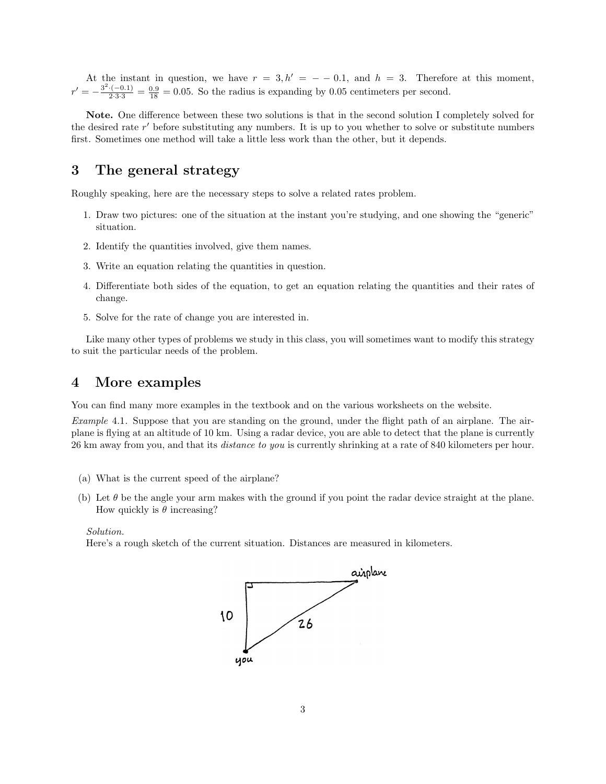At the instant in question, we have  $r = 3, h' = -0.1$ , and  $h = 3$ . Therefore at this moment,  $r' = -\frac{3^2 \cdot (-0.1)}{2 \cdot 3 \cdot 3} = \frac{0.9}{18} = 0.05$ . So the radius is expanding by 0.05 centimeters per second.

Note. One difference between these two solutions is that in the second solution I completely solved for the desired rate r' before substituting any numbers. It is up to you whether to solve or substitute numbers first. Sometimes one method will take a little less work than the other, but it depends.

### 3 The general strategy

Roughly speaking, here are the necessary steps to solve a related rates problem.

- 1. Draw two pictures: one of the situation at the instant you're studying, and one showing the "generic" situation.
- 2. Identify the quantities involved, give them names.
- 3. Write an equation relating the quantities in question.
- 4. Differentiate both sides of the equation, to get an equation relating the quantities and their rates of change.
- 5. Solve for the rate of change you are interested in.

Like many other types of problems we study in this class, you will sometimes want to modify this strategy to suit the particular needs of the problem.

#### 4 More examples

You can find many more examples in the textbook and on the various worksheets on the website.

Example 4.1. Suppose that you are standing on the ground, under the flight path of an airplane. The airplane is flying at an altitude of 10 km. Using a radar device, you are able to detect that the plane is currently 26 km away from you, and that its distance to you is currently shrinking at a rate of 840 kilometers per hour.

- (a) What is the current speed of the airplane?
- (b) Let  $\theta$  be the angle your arm makes with the ground if you point the radar device straight at the plane. How quickly is  $\theta$  increasing?

Solution.

Here's a rough sketch of the current situation. Distances are measured in kilometers.

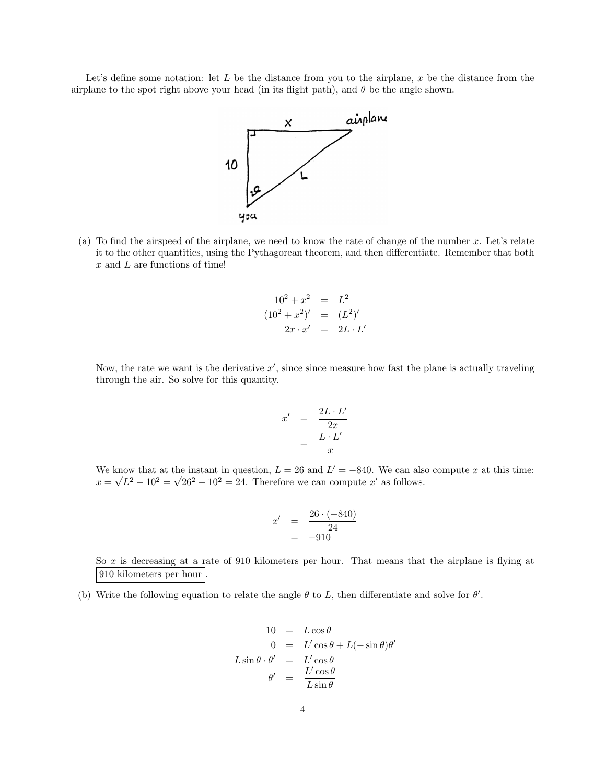Let's define some notation: let  $L$  be the distance from you to the airplane, x be the distance from the airplane to the spot right above your head (in its flight path), and  $\theta$  be the angle shown.



(a) To find the airspeed of the airplane, we need to know the rate of change of the number x. Let's relate it to the other quantities, using the Pythagorean theorem, and then differentiate. Remember that both x and L are functions of time!

$$
102 + x2 = L2
$$
  
\n
$$
(102 + x2)' = (L2)'
$$
  
\n
$$
2x \cdot x' = 2L \cdot L'
$$

Now, the rate we want is the derivative  $x'$ , since since measure how fast the plane is actually traveling through the air. So solve for this quantity.

$$
x' = \frac{2L \cdot L'}{2x}
$$

$$
= \frac{L \cdot L'}{x}
$$

We know that at the instant in question,  $L = 26$  and  $L' = -840$ . We can also compute x at this time:  $x = \sqrt{L^2 - 10^2} = \sqrt{26^2 - 10^2} = 24$ . Therefore we can compute x' as follows.

$$
x' = \frac{26 \cdot (-840)}{24} = -910
$$

So x is decreasing at a rate of 910 kilometers per hour. That means that the airplane is flying at 910 kilometers per hour

(b) Write the following equation to relate the angle  $\theta$  to L, then differentiate and solve for  $\theta'$ .

$$
10 = L\cos\theta
$$
  
\n
$$
0 = L'\cos\theta + L(-\sin\theta)\theta'
$$
  
\n
$$
L\sin\theta \cdot \theta' = L'\cos\theta
$$
  
\n
$$
\theta' = \frac{L'\cos\theta}{L\sin\theta}
$$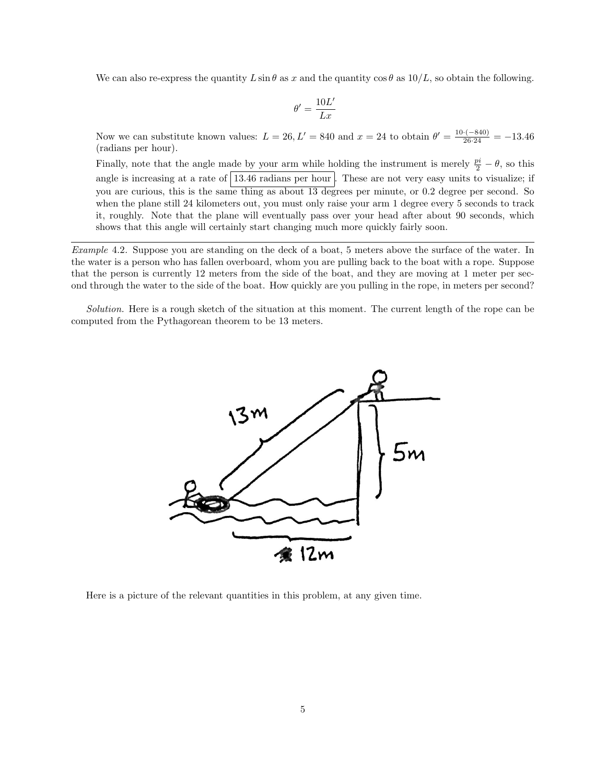We can also re-express the quantity  $L \sin \theta$  as x and the quantity  $\cos \theta$  as  $10/L$ , so obtain the following.

$$
\theta'=\frac{10L'}{Lx}
$$

Now we can substitute known values:  $L = 26, L' = 840$  and  $x = 24$  to obtain  $\theta' = \frac{10 \cdot (-840)}{26.24} = -13.46$ (radians per hour).

Finally, note that the angle made by your arm while holding the instrument is merely  $\frac{pi}{2} - \theta$ , so this angle is increasing at a rate of  $\boxed{13.46}$  radians per hour. These are not very easy units to visualize; if you are curious, this is the same thing as about 13 degrees per minute, or 0.2 degree per second. So when the plane still 24 kilometers out, you must only raise your arm 1 degree every 5 seconds to track it, roughly. Note that the plane will eventually pass over your head after about 90 seconds, which shows that this angle will certainly start changing much more quickly fairly soon.

Example 4.2. Suppose you are standing on the deck of a boat, 5 meters above the surface of the water. In the water is a person who has fallen overboard, whom you are pulling back to the boat with a rope. Suppose that the person is currently 12 meters from the side of the boat, and they are moving at 1 meter per second through the water to the side of the boat. How quickly are you pulling in the rope, in meters per second?

Solution. Here is a rough sketch of the situation at this moment. The current length of the rope can be computed from the Pythagorean theorem to be 13 meters.



Here is a picture of the relevant quantities in this problem, at any given time.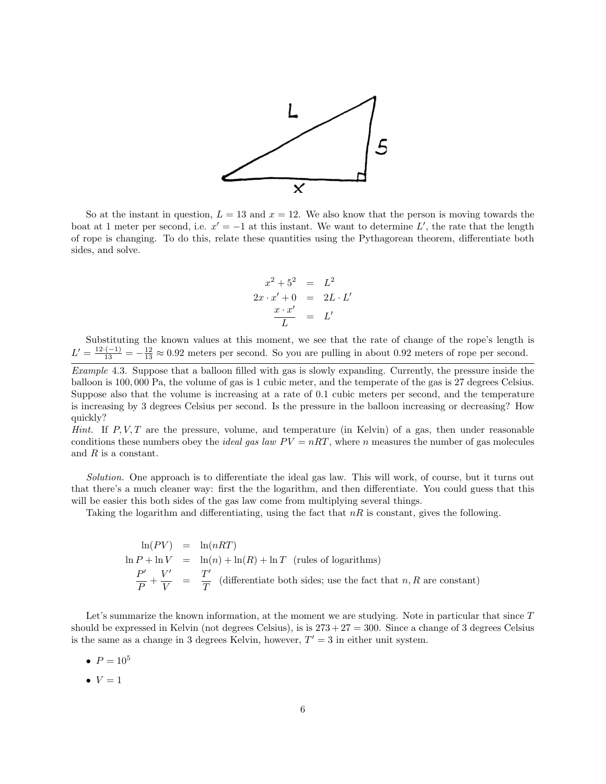

So at the instant in question,  $L = 13$  and  $x = 12$ . We also know that the person is moving towards the boat at 1 meter per second, i.e.  $x' = -1$  at this instant. We want to determine L', the rate that the length of rope is changing. To do this, relate these quantities using the Pythagorean theorem, differentiate both sides, and solve.

$$
x^{2} + 5^{2} = L^{2}
$$
  

$$
2x \cdot x' + 0 = 2L \cdot L'
$$
  

$$
\frac{x \cdot x'}{L} = L'
$$

Substituting the known values at this moment, we see that the rate of change of the rope's length is  $L' = \frac{12 \cdot (-1)}{13} = -\frac{12}{13} \approx 0.92$  meters per second. So you are pulling in about 0.92 meters of rope per second.

Example 4.3. Suppose that a balloon filled with gas is slowly expanding. Currently, the pressure inside the balloon is 100, 000 Pa, the volume of gas is 1 cubic meter, and the temperate of the gas is 27 degrees Celsius. Suppose also that the volume is increasing at a rate of 0.1 cubic meters per second, and the temperature is increasing by 3 degrees Celsius per second. Is the pressure in the balloon increasing or decreasing? How quickly?

*Hint.* If  $P, V, T$  are the pressure, volume, and temperature (in Kelvin) of a gas, then under reasonable conditions these numbers obey the *ideal gas law*  $PV = nRT$ , where n measures the number of gas molecules and R is a constant.

Solution. One approach is to differentiate the ideal gas law. This will work, of course, but it turns out that there's a much cleaner way: first the the logarithm, and then differentiate. You could guess that this will be easier this both sides of the gas law come from multiplying several things.

Taking the logarithm and differentiating, using the fact that  $nR$  is constant, gives the following.

$$
\ln(PV) = \ln(nRT)
$$
  
\n
$$
\ln P + \ln V = \ln(n) + \ln(R) + \ln T
$$
 (rules of logarithms)  
\n
$$
\frac{P'}{P} + \frac{V'}{V} = \frac{T'}{T}
$$
 (differentiate both sides; use the fact that *n*, *R* are constant)

Let's summarize the known information, at the moment we are studying. Note in particular that since T should be expressed in Kelvin (not degrees Celsius), is is  $273 + 27 = 300$ . Since a change of 3 degrees Celsius is the same as a change in 3 degrees Kelvin, however,  $T' = 3$  in either unit system.

- $P = 10^5$
- $\bullet \, V = 1$